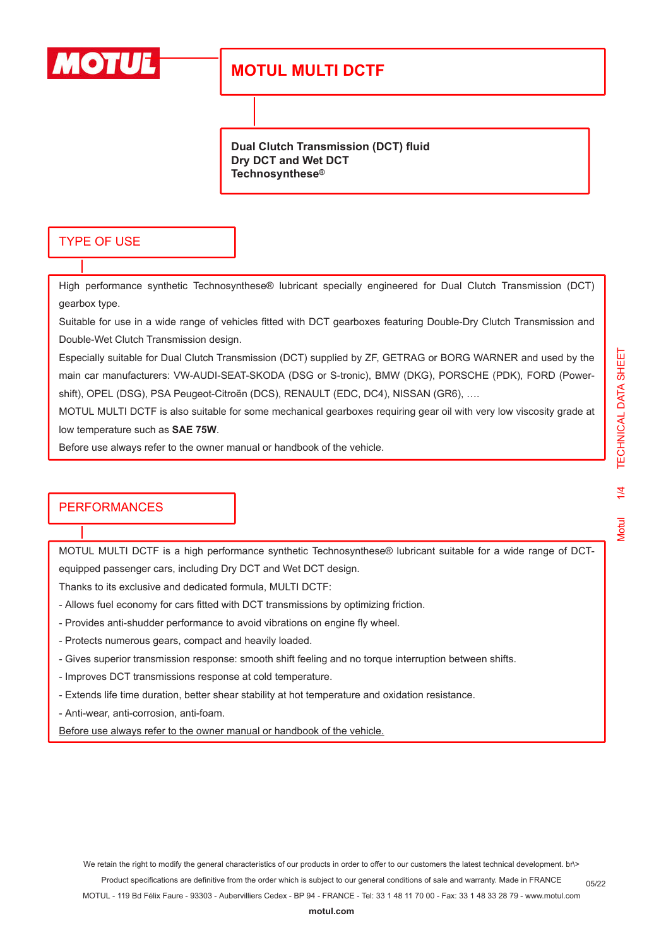

**Dual Clutch Transmission (DCT) fluid Dry DCT and Wet DCT Technosynthese®**

### TYPE OF USE

High performance synthetic Technosynthese® lubricant specially engineered for Dual Clutch Transmission (DCT) gearbox type.

Suitable for use in a wide range of vehicles fitted with DCT gearboxes featuring Double-Dry Clutch Transmission and Double-Wet Clutch Transmission design.

Especially suitable for Dual Clutch Transmission (DCT) supplied by ZF, GETRAG or BORG WARNER and used by the main car manufacturers: VW-AUDI-SEAT-SKODA (DSG or S-tronic), BMW (DKG), PORSCHE (PDK), FORD (Powershift), OPEL (DSG), PSA Peugeot-Citroën (DCS), RENAULT (EDC, DC4), NISSAN (GR6), ….

MOTUL MULTI DCTF is also suitable for some mechanical gearboxes requiring gear oil with very low viscosity grade at low temperature such as **SAE 75W**.

Before use always refer to the owner manual or handbook of the vehicle.

### **PERFORMANCES**

MOTUL MULTI DCTF is a high performance synthetic Technosynthese® lubricant suitable for a wide range of DCTequipped passenger cars, including Dry DCT and Wet DCT design.

Thanks to its exclusive and dedicated formula, MULTI DCTF:

- Allows fuel economy for cars fitted with DCT transmissions by optimizing friction.
- Provides anti-shudder performance to avoid vibrations on engine fly wheel.
- Protects numerous gears, compact and heavily loaded.
- Gives superior transmission response: smooth shift feeling and no torque interruption between shifts.
- Improves DCT transmissions response at cold temperature.
- Extends life time duration, better shear stability at hot temperature and oxidation resistance.
- Anti-wear, anti-corrosion, anti-foam.

Before use always refer to the owner manual or handbook of the vehicle.

We retain the right to modify the general characteristics of our products in order to offer to our customers the latest technical development. br\> Product specifications are definitive from the order which is subject to our general conditions of sale and warranty. Made in FRANCE MOTUL - 119 Bd Félix Faure - 93303 - Aubervilliers Cedex - BP 94 - FRANCE - Tel: 33 1 48 11 70 00 - Fax: 33 1 48 33 28 79 - www.motul.com 05/22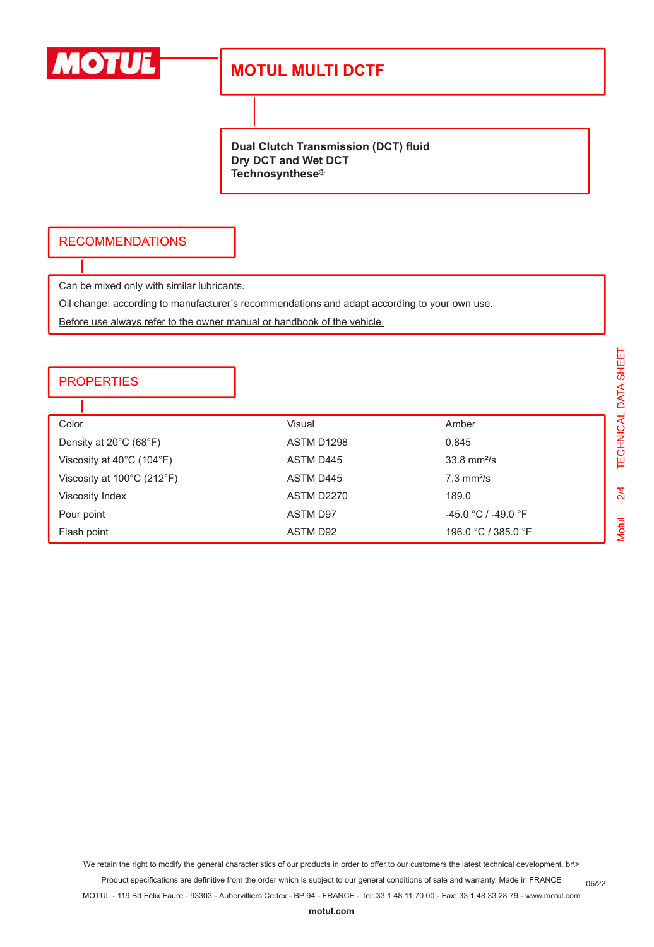

**Dual Clutch Transmission (DCT) fluid Dry DCT and Wet DCT Technosynthese®**

## RECOMMENDATIONS

Can be mixed only with similar lubricants.

Oil change: according to manufacturer's recommendations and adapt according to your own use.

Before use always refer to the owner manual or handbook of the vehicle.

#### **PROPERTIES**

| Color                                          | Visual     | Amber                     |
|------------------------------------------------|------------|---------------------------|
| Density at 20°C (68°F)                         | ASTM D1298 | 0.845                     |
| Viscosity at $40^{\circ}$ C (104 $^{\circ}$ F) | ASTM D445  | $33.8$ mm <sup>2</sup> /s |
| Viscosity at 100°C (212°F)                     | ASTM D445  | $7.3$ mm <sup>2</sup> /s  |
| Viscosity Index                                | ASTM D2270 | 189.0                     |
| Pour point                                     | ASTM D97   | $-45.0 °C / -49.0 °F$     |
| Flash point                                    | ASTM D92   | 196.0 °C / 385.0 °F       |

TECHNICAL DATA SHEET Motul 2/4 TECHNICAL DATA SHEET $2/4$ **Motul** 

05/22

We retain the right to modify the general characteristics of our products in order to offer to our customers the latest technical development. br\>

Product specifications are definitive from the order which is subject to our general conditions of sale and warranty. Made in FRANCE

MOTUL - 119 Bd Félix Faure - 93303 - Aubervilliers Cedex - BP 94 - FRANCE - Tel: 33 1 48 11 70 00 - Fax: 33 1 48 33 28 79 - www.motul.com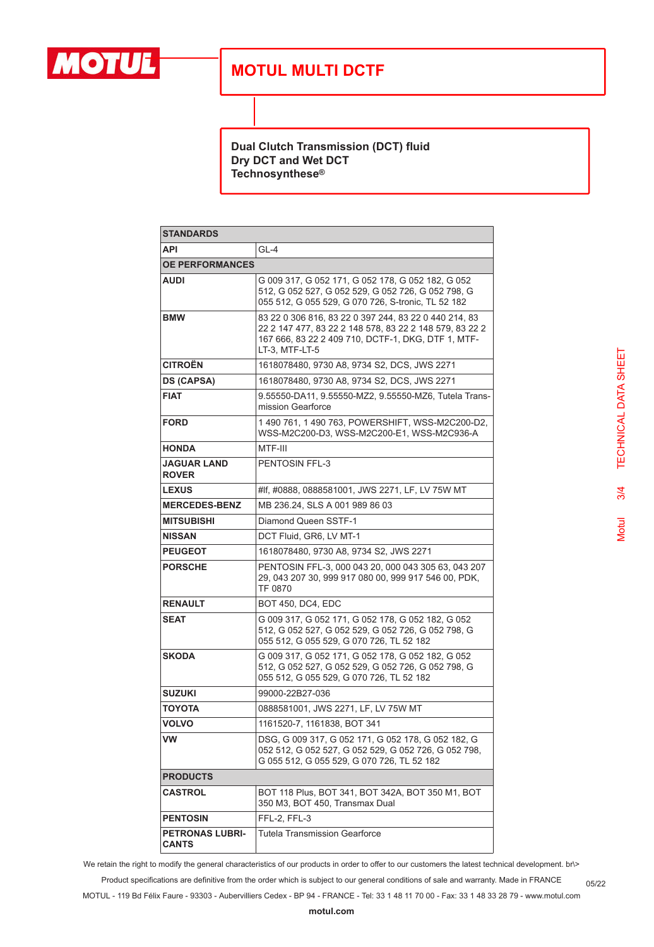

**Dual Clutch Transmission (DCT) fluid Dry DCT and Wet DCT Technosynthese®**

| <b>STANDARDS</b>                       |                                                                                                                                                                                          |  |
|----------------------------------------|------------------------------------------------------------------------------------------------------------------------------------------------------------------------------------------|--|
| <b>API</b>                             | $GL-4$                                                                                                                                                                                   |  |
| <b>OE PERFORMANCES</b>                 |                                                                                                                                                                                          |  |
| <b>AUDI</b>                            | G 009 317, G 052 171, G 052 178, G 052 182, G 052<br>512, G 052 527, G 052 529, G 052 726, G 052 798, G<br>055 512, G 055 529, G 070 726, S-tronic, TL 52 182                            |  |
| <b>BMW</b>                             | 83 22 0 306 816, 83 22 0 397 244, 83 22 0 440 214, 83<br>22 2 147 477, 83 22 2 148 578, 83 22 2 148 579, 83 22 2<br>167 666, 83 22 2 409 710, DCTF-1, DKG, DTF 1, MTF-<br>LT-3. MTF-LT-5 |  |
| <b>CITROËN</b>                         | 1618078480, 9730 A8, 9734 S2, DCS, JWS 2271                                                                                                                                              |  |
| <b>DS (CAPSA)</b>                      | 1618078480, 9730 A8, 9734 S2, DCS, JWS 2271                                                                                                                                              |  |
| <b>FIAT</b>                            | 9.55550-DA11, 9.55550-MZ2, 9.55550-MZ6, Tutela Trans-<br>mission Gearforce                                                                                                               |  |
| FORD                                   | 1490 761, 1490 763, POWERSHIFT, WSS-M2C200-D2,<br>WSS-M2C200-D3, WSS-M2C200-E1, WSS-M2C936-A                                                                                             |  |
| HONDA                                  | MTF-III                                                                                                                                                                                  |  |
| JAGUAR LAND<br><b>ROVER</b>            | <b>PENTOSIN FFL-3</b>                                                                                                                                                                    |  |
| <b>LEXUS</b>                           | #If, #0888, 0888581001, JWS 2271, LF, LV 75W MT                                                                                                                                          |  |
| <b>MERCEDES-BENZ</b>                   | MB 236.24, SLS A 001 989 86 03                                                                                                                                                           |  |
| <b>MITSUBISHI</b>                      | Diamond Queen SSTF-1                                                                                                                                                                     |  |
| <b>NISSAN</b>                          | DCT Fluid, GR6, LV MT-1                                                                                                                                                                  |  |
| <b>PEUGEOT</b>                         | 1618078480, 9730 A8, 9734 S2, JWS 2271                                                                                                                                                   |  |
| <b>PORSCHE</b>                         | PENTOSIN FFL-3, 000 043 20, 000 043 305 63, 043 207<br>29, 043 207 30, 999 917 080 00, 999 917 546 00, PDK,<br>TF 0870                                                                   |  |
| <b>RENAULT</b>                         | <b>BOT 450, DC4, EDC</b>                                                                                                                                                                 |  |
| <b>SEAT</b>                            | G 009 317, G 052 171, G 052 178, G 052 182, G 052<br>512, G 052 527, G 052 529, G 052 726, G 052 798, G<br>055 512, G 055 529, G 070 726, TL 52 182                                      |  |
| <b>SKODA</b>                           | G 009 317, G 052 171, G 052 178, G 052 182, G 052<br>512, G 052 527, G 052 529, G 052 726, G 052 798, G<br>055 512, G 055 529, G 070 726, TL 52 182                                      |  |
| <b>SUZUKI</b>                          | 99000-22B27-036                                                                                                                                                                          |  |
| ΤΟΥΟΤΑ                                 | 0888581001, JWS 2271, LF, LV 75W MT                                                                                                                                                      |  |
| <b>VOLVO</b>                           | 1161520-7, 1161838, BOT 341                                                                                                                                                              |  |
| VW                                     | DSG, G 009 317, G 052 171, G 052 178, G 052 182, G<br>052 512, G 052 527, G 052 529, G 052 726, G 052 798,<br>G 055 512, G 055 529, G 070 726, TL 52 182                                 |  |
| <b>PRODUCTS</b>                        |                                                                                                                                                                                          |  |
| CASTROL                                | BOT 118 Plus, BOT 341, BOT 342A, BOT 350 M1, BOT<br>350 M3, BOT 450, Transmax Dual                                                                                                       |  |
| <b>PENTOSIN</b>                        | FFL-2, FFL-3                                                                                                                                                                             |  |
| <b>PETRONAS LUBRI-</b><br><b>CANTS</b> | <b>Tutela Transmission Gearforce</b>                                                                                                                                                     |  |

We retain the right to modify the general characteristics of our products in order to offer to our customers the latest technical development. br\>

Product specifications are definitive from the order which is subject to our general conditions of sale and warranty. Made in FRANCE 05/22

MOTUL - 119 Bd Félix Faure - 93303 - Aubervilliers Cedex - BP 94 - FRANCE - Tel: 33 1 48 11 70 00 - Fax: 33 1 48 33 28 79 - www.motul.com